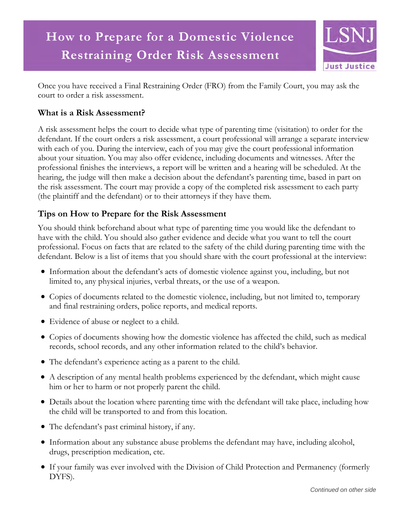

Once you have received a Final Restraining Order (FRO) from the Family Court, you may ask the court to order a risk assessment.

## **What is a Risk Assessment?**

A risk assessment helps the court to decide what type of parenting time (visitation) to order for the defendant. If the court orders a risk assessment, a court professional will arrange a separate interview with each of you. During the interview, each of you may give the court professional information about your situation. You may also offer evidence, including documents and witnesses. After the professional finishes the interviews, a report will be written and a hearing will be scheduled. At the hearing, the judge will then make a decision about the defendant's parenting time, based in part on the risk assessment. The court may provide a copy of the completed risk assessment to each party (the plaintiff and the defendant) or to their attorneys if they have them.

## **Tips on How to Prepare for the Risk Assessment**

You should think beforehand about what type of parenting time you would like the defendant to have with the child. You should also gather evidence and decide what you want to tell the court professional. Focus on facts that are related to the safety of the child during parenting time with the defendant. Below is a list of items that you should share with the court professional at the interview:

- Information about the defendant's acts of domestic violence against you, including, but not limited to, any physical injuries, verbal threats, or the use of a weapon.
- Copies of documents related to the domestic violence, including, but not limited to, temporary and final restraining orders, police reports, and medical reports.
- Evidence of abuse or neglect to a child.
- Copies of documents showing how the domestic violence has affected the child, such as medical records, school records, and any other information related to the child's behavior.
- The defendant's experience acting as a parent to the child.
- A description of any mental health problems experienced by the defendant, which might cause him or her to harm or not properly parent the child.
- Details about the location where parenting time with the defendant will take place, including how the child will be transported to and from this location.
- The defendant's past criminal history, if any.
- Information about any substance abuse problems the defendant may have, including alcohol, drugs, prescription medication, etc.
- If your family was ever involved with the Division of Child Protection and Permanency (formerly DYFS).